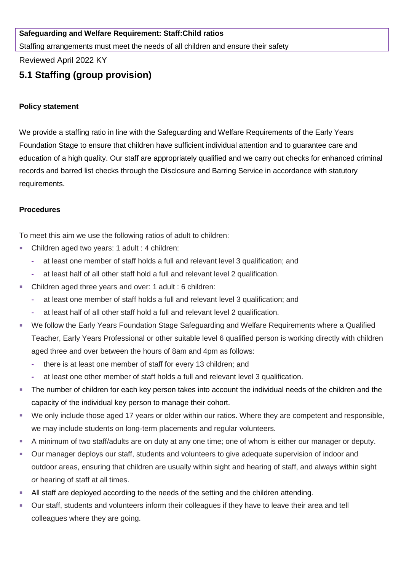## **Safeguarding and Welfare Requirement: Staff:Child ratios**

Staffing arrangements must meet the needs of all children and ensure their safety

Reviewed April 2022 KY

# **5.1 Staffing (group provision)**

### **Policy statement**

We provide a staffing ratio in line with the Safeguarding and Welfare Requirements of the Early Years Foundation Stage to ensure that children have sufficient individual attention and to guarantee care and education of a high quality. Our staff are appropriately qualified and we carry out checks for enhanced criminal records and barred list checks through the Disclosure and Barring Service in accordance with statutory requirements.

### **Procedures**

To meet this aim we use the following ratios of adult to children:

- Children aged two years: 1 adult : 4 children:
	- **-** at least one member of staff holds a full and relevant level 3 qualification; and
	- **-** at least half of all other staff hold a full and relevant level 2 qualification.
- Children aged three years and over: 1 adult : 6 children:
	- **-** at least one member of staff holds a full and relevant level 3 qualification; and
	- **-** at least half of all other staff hold a full and relevant level 2 qualification.
- We follow the Early Years Foundation Stage Safeguarding and Welfare Requirements where a Qualified Teacher, Early Years Professional or other suitable level 6 qualified person is working directly with children aged three and over between the hours of 8am and 4pm as follows:
	- **-** there is at least one member of staff for every 13 children; and
	- **-** at least one other member of staff holds a full and relevant level 3 qualification.
- The number of children for each key person takes into account the individual needs of the children and the capacity of the individual key person to manage their cohort.
- We only include those aged 17 years or older within our ratios. Where they are competent and responsible, we may include students on long-term placements and regular volunteers.
- A minimum of two staff/adults are on duty at any one time; one of whom is either our manager or deputy.
- Our manager deploys our staff, students and volunteers to give adequate supervision of indoor and outdoor areas, ensuring that children are usually within sight and hearing of staff, and always within sight *or* hearing of staff at all times.
- **EXECT** All staff are deployed according to the needs of the setting and the children attending.
- Our staff, students and volunteers inform their colleagues if they have to leave their area and tell colleagues where they are going.